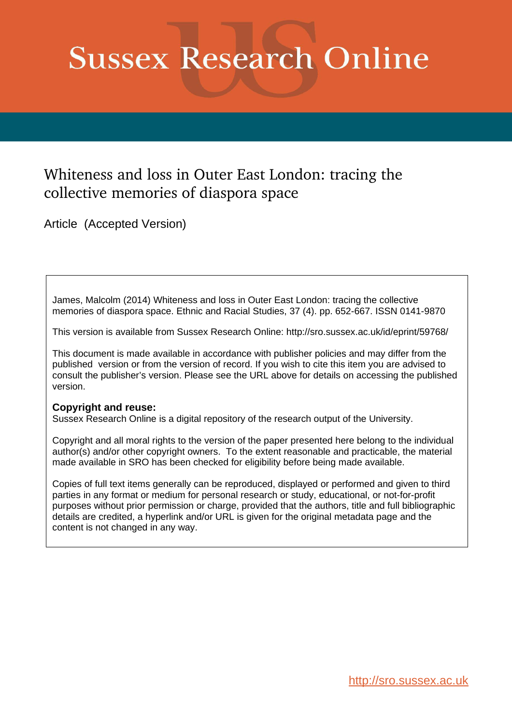# **Sussex Research Online**

## Whiteness and loss in Outer East London: tracing the collective memories of diaspora space

Article (Accepted Version)

James, Malcolm (2014) Whiteness and loss in Outer East London: tracing the collective memories of diaspora space. Ethnic and Racial Studies, 37 (4). pp. 652-667. ISSN 0141-9870

This version is available from Sussex Research Online: http://sro.sussex.ac.uk/id/eprint/59768/

This document is made available in accordance with publisher policies and may differ from the published version or from the version of record. If you wish to cite this item you are advised to consult the publisher's version. Please see the URL above for details on accessing the published version.

### **Copyright and reuse:**

Sussex Research Online is a digital repository of the research output of the University.

Copyright and all moral rights to the version of the paper presented here belong to the individual author(s) and/or other copyright owners. To the extent reasonable and practicable, the material made available in SRO has been checked for eligibility before being made available.

Copies of full text items generally can be reproduced, displayed or performed and given to third parties in any format or medium for personal research or study, educational, or not-for-profit purposes without prior permission or charge, provided that the authors, title and full bibliographic details are credited, a hyperlink and/or URL is given for the original metadata page and the content is not changed in any way.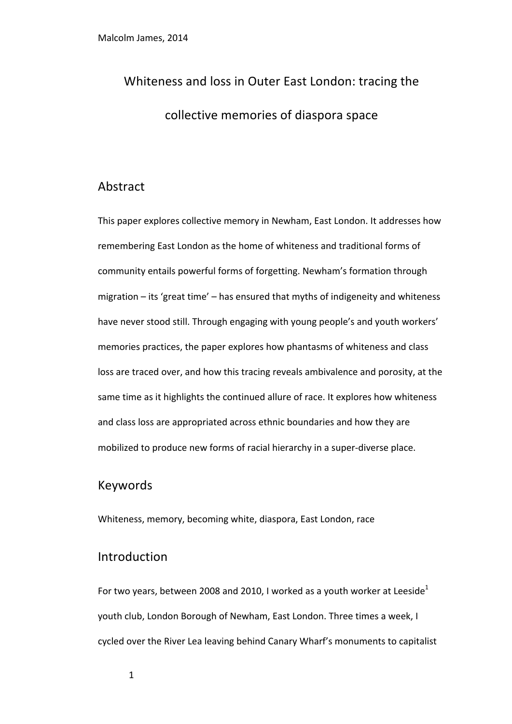## Whiteness and loss in Outer East London: tracing the collective memories of diaspora space

## Abstract'

This paper explores collective memory in Newham, East London. It addresses how remembering East London as the home of whiteness and traditional forms of community entails powerful forms of forgetting. Newham's formation through migration – its 'great time' – has ensured that myths of indigeneity and whiteness have never stood still. Through engaging with young people's and youth workers' memories practices, the paper explores how phantasms of whiteness and class loss are traced over, and how this tracing reveals ambivalence and porosity, at the same time as it highlights the continued allure of race. It explores how whiteness and class loss are appropriated across ethnic boundaries and how they are mobilized to produce new forms of racial hierarchy in a super-diverse place.

## Keywords

Whiteness, memory, becoming white, diaspora, East London, race

## Introduction

For two years, between 2008 and 2010, I worked as a youth worker at Leeside<sup>1</sup> youth club, London Borough of Newham, East London. Three times a week, I cycled over the River Lea leaving behind Canary Wharf's monuments to capitalist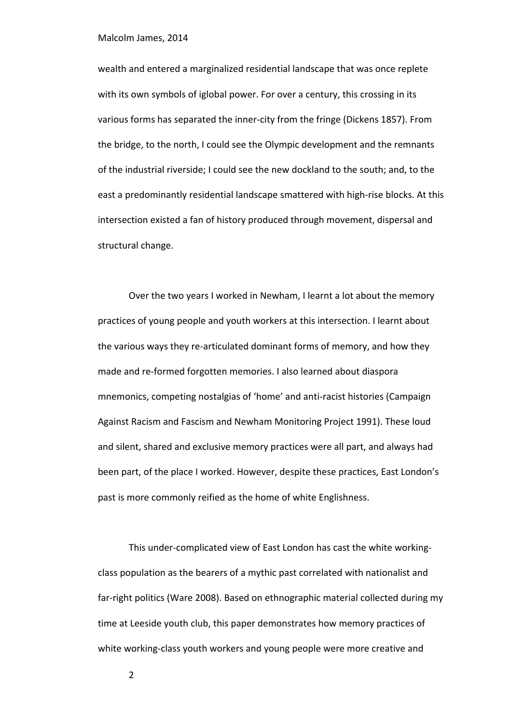wealth and entered a marginalized residential landscape that was once replete with its own symbols of iglobal power. For over a century, this crossing in its various forms has separated the inner-city from the fringe (Dickens 1857). From the bridge, to the north, I could see the Olympic development and the remnants of the industrial riverside; I could see the new dockland to the south; and, to the east a predominantly residential landscape smattered with high-rise blocks. At this intersection existed a fan of history produced through movement, dispersal and structural change.

Over the two years I worked in Newham, I learnt a lot about the memory practices of young people and youth workers at this intersection. I learnt about the various ways they re-articulated dominant forms of memory, and how they made and re-formed forgotten memories. I also learned about diaspora mnemonics, competing nostalgias of 'home' and anti-racist histories (Campaign Against Racism and Fascism and Newham Monitoring Project 1991). These loud and silent, shared and exclusive memory practices were all part, and always had been part, of the place I worked. However, despite these practices, East London's past is more commonly reified as the home of white Englishness.

This under-complicated view of East London has cast the white workingclass population as the bearers of a mythic past correlated with nationalist and far-right politics (Ware 2008). Based on ethnographic material collected during my time at Leeside youth club, this paper demonstrates how memory practices of white working-class youth workers and young people were more creative and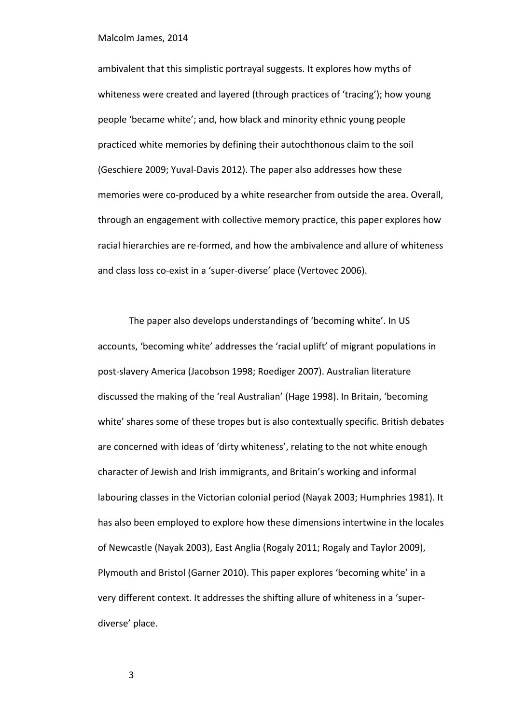ambivalent that this simplistic portrayal suggests. It explores how myths of whiteness were created and layered (through practices of 'tracing'); how young people 'became white'; and, how black and minority ethnic young people practiced white memories by defining their autochthonous claim to the soil (Geschiere 2009; Yuval-Davis 2012). The paper also addresses how these memories were co-produced by a white researcher from outside the area. Overall, through an engagement with collective memory practice, this paper explores how racial hierarchies are re-formed, and how the ambivalence and allure of whiteness and class loss co-exist in a 'super-diverse' place (Vertovec 2006).

The paper also develops understandings of 'becoming white'. In US accounts, 'becoming white' addresses the 'racial uplift' of migrant populations in post-slavery America (Jacobson 1998; Roediger 2007). Australian literature discussed the making of the 'real Australian' (Hage 1998). In Britain, 'becoming white' shares some of these tropes but is also contextually specific. British debates are concerned with ideas of 'dirty whiteness', relating to the not white enough character of Jewish and Irish immigrants, and Britain's working and informal labouring classes in the Victorian colonial period (Nayak 2003; Humphries 1981). It has also been'employed to explore how these dimensions intertwine in the locales of Newcastle (Nayak 2003), East Anglia (Rogaly 2011; Rogaly and Taylor 2009), Plymouth and Bristol (Garner 2010). This paper explores 'becoming white' in a very different context. It addresses the shifting allure of whiteness in a 'superdiverse' place.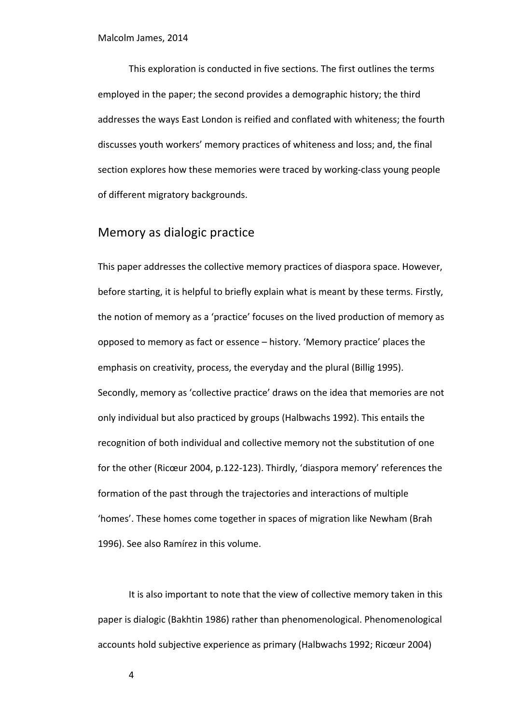This exploration is conducted in five sections. The first outlines the terms employed in the paper; the second provides a demographic history; the third addresses the ways East London is reified and conflated with whiteness; the fourth discusses youth workers' memory practices of whiteness and loss; and, the final section explores how these memories were traced by working-class young people of different migratory backgrounds.

## Memory as dialogic practice

This paper addresses the collective memory practices of diaspora space. However, before starting, it is helpful to briefly explain what is meant by these terms. Firstly, the notion of memory as a 'practice' focuses on the lived production of memory as opposed to memory as fact or essence – history. 'Memory practice' places the emphasis on creativity, process, the everyday and the plural (Billig 1995). Secondly, memory as 'collective practice' draws on the idea that memories are not only individual but also practiced by groups (Halbwachs 1992). This entails the recognition of both individual and collective memory not the substitution of one for the other (Ricœur 2004, p.122-123). Thirdly, 'diaspora memory' references the formation of the past through the trajectories and interactions of multiple 'homes'. These homes come together in spaces of migration like Newham (Brah) 1996). See also Ramírez in this volume.

It is also important to note that the view of collective memory taken in this paper is dialogic (Bakhtin 1986) rather than phenomenological. Phenomenological accounts hold subjective experience as primary (Halbwachs 1992; Ricœur 2004)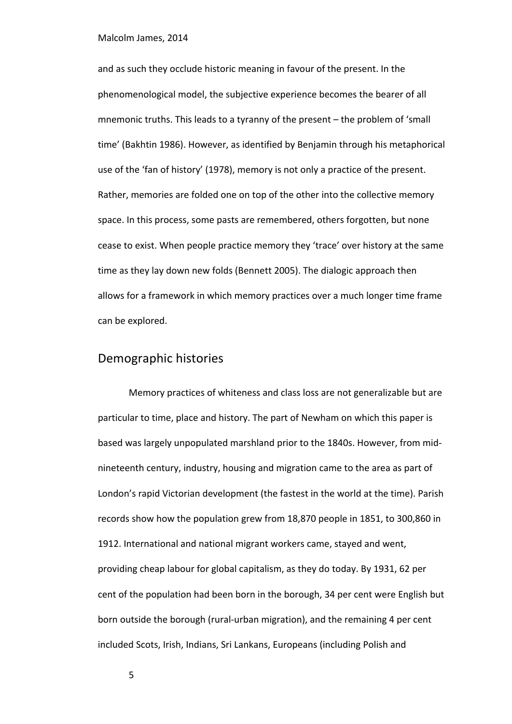and as such they occlude historic meaning in favour of the present. In the phenomenological model, the subjective experience becomes the bearer of all mnemonic truths. This leads to a tyranny of the present – the problem of 'small' time' (Bakhtin 1986). However, as identified by Benjamin through his metaphorical use of the 'fan of history' (1978), memory is not only a practice of the present. Rather, memories are folded one on top of the other into the collective memory space. In this process, some pasts are remembered, others forgotten, but none cease to exist. When people practice memory they 'trace' over history at the same time as they lay down new folds (Bennett 2005). The dialogic approach then allows for a framework in which memory practices over a much longer time frame can be explored.

## Demographic histories

Memory practices of whiteness and class loss are not generalizable but are particular to time, place and history. The part of Newham on which this paper is based was largely unpopulated marshland prior to the 1840s. However, from midnineteenth century, industry, housing and migration came to the area as part of London's rapid Victorian development (the fastest in the world at the time). Parish records show how the population grew from 18,870 people in 1851, to 300,860 in 1912. International and national migrant workers came, stayed and went, providing cheap labour for global capitalism, as they do today. By 1931, 62 per cent of the population had been born in the borough, 34 per cent were English but born outside the borough (rural-urban migration), and the remaining 4 per cent included Scots, Irish, Indians, Sri Lankans, Europeans (including Polish and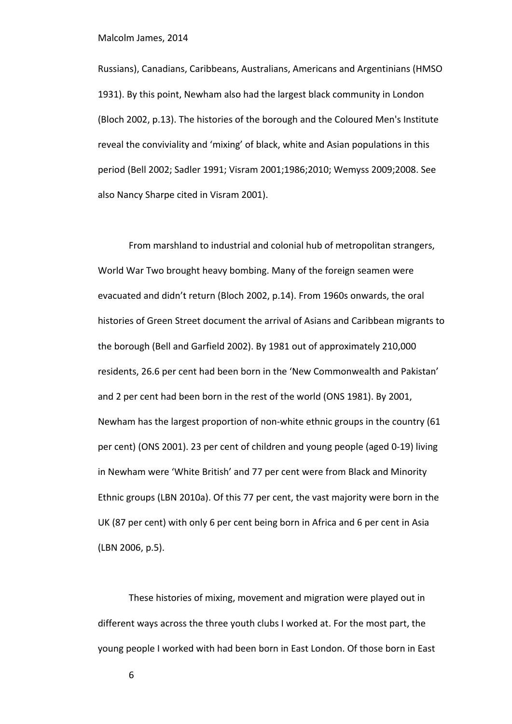Russians), Canadians, Caribbeans, Australians, Americans and Argentinians (HMSO) 1931). By this point, Newham also had the largest black community in London (Bloch 2002, p.13). The histories of the borough and the Coloured Men's Institute reveal the conviviality and 'mixing' of black, white and Asian populations in this period (Bell 2002; Sadler 1991; Visram 2001;1986;2010; Wemyss 2009;2008. See also Nancy Sharpe cited in Visram 2001).

From marshland to industrial and colonial hub of metropolitan strangers, World War Two brought heavy bombing. Many of the foreign seamen were evacuated and didn't return (Bloch 2002, p.14). From 1960s onwards, the oral histories of Green Street document the arrival of Asians and Caribbean migrants to the borough (Bell and Garfield 2002). By 1981 out of approximately 210,000 residents, 26.6 per cent had been born in the 'New Commonwealth and Pakistan' and 2 per cent had been born in the rest of the world (ONS 1981). By 2001, Newham has the largest proportion of non-white ethnic groups in the country (61) per cent) (ONS 2001). 23 per cent of children and young people (aged 0-19) living in Newham were 'White British' and 77 per cent were from Black and Minority Ethnic groups (LBN 2010a). Of this 77 per cent, the vast majority were born in the UK (87 per cent) with only 6 per cent being born in Africa and 6 per cent in Asia (LBN 2006, p.5).

These histories of mixing, movement and migration were played out in different ways across the three youth clubs I worked at. For the most part, the young people I worked with had been born in East London. Of those born in East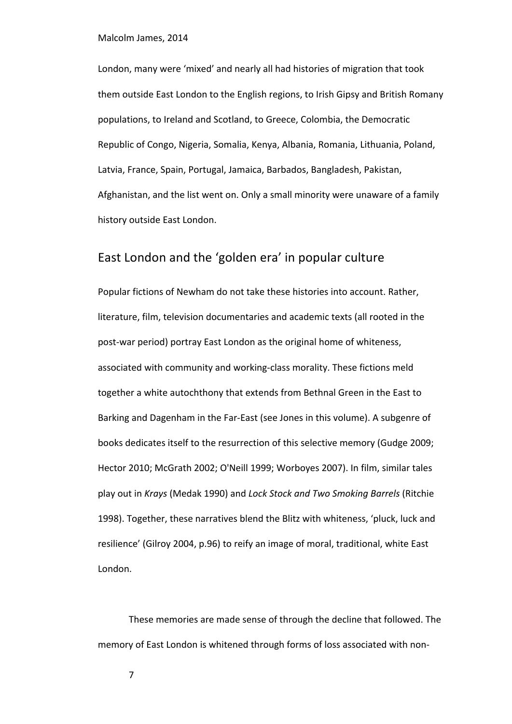London, many were 'mixed' and nearly all had histories of migration that took them outside East London to the English regions, to Irish Gipsy and British Romany populations, to Ireland and Scotland, to Greece, Colombia, the Democratic Republic of Congo, Nigeria, Somalia, Kenya, Albania, Romania, Lithuania, Poland, Latvia, France, Spain, Portugal, Jamaica, Barbados, Bangladesh, Pakistan, Afghanistan, and the list went on. Only a small minority were unaware of a family history outside East London.

## East London and the 'golden era' in popular culture

Popular fictions of Newham do not take these histories into account. Rather, literature, film, television documentaries and academic texts (all rooted in the post-war period) portray East London as the original home of whiteness, associated with community and working-class morality. These fictions meld together a white autochthony that extends from Bethnal Green in the East to Barking and Dagenham in the Far-East (see Jones in this volume). A subgenre of books dedicates itself to the resurrection of this selective memory (Gudge 2009; Hector 2010; McGrath 2002; O'Neill 1999; Worboyes 2007). In film, similar tales play out in *Krays* (Medak 1990) and *Lock Stock and Two Smoking Barrels* (Ritchie) 1998). Together, these narratives blend the Blitz with whiteness, 'pluck, luck and resilience' (Gilroy 2004, p.96) to reify an image of moral, traditional, white East London.

These memories are made sense of through the decline that followed. The memory of East London is whitened through forms of loss associated with non-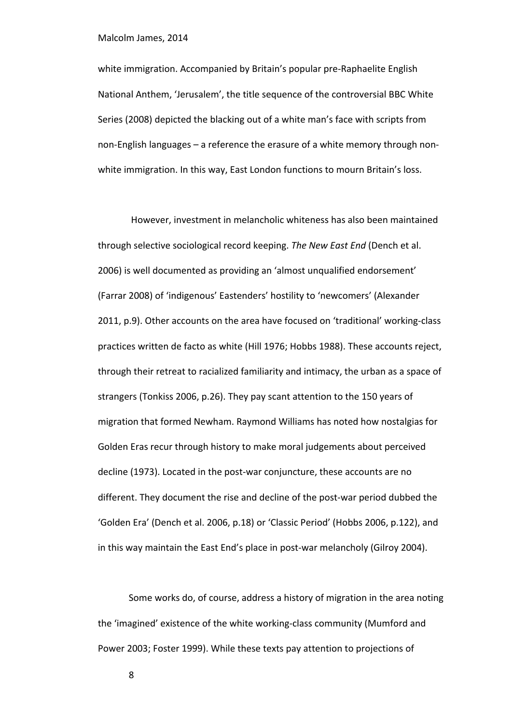white immigration. Accompanied by Britain's popular pre-Raphaelite English National Anthem, 'Jerusalem', the title sequence of the controversial BBC White Series (2008) depicted the blacking out of a white man's face with scripts from non-English languages – a reference the erasure of a white memory through nonwhite immigration. In this way, East London functions to mourn Britain's loss.

However, investment in melancholic whiteness has also been maintained through selective sociological record keeping. The New East End (Dench et al.) 2006) is well documented as providing an 'almost unqualified endorsement' (Farrar 2008) of 'indigenous' Eastenders' hostility to 'newcomers' (Alexander 2011, p.9). Other accounts on the area have focused on 'traditional' working-class practices written de facto as white (Hill 1976; Hobbs 1988). These accounts reject, through their retreat to racialized familiarity and intimacy, the urban as a space of strangers (Tonkiss 2006, p.26). They pay scant attention to the 150 years of migration that formed Newham. Raymond Williams has noted how nostalgias for Golden Eras recur through history to make moral judgements about perceived decline (1973). Located in the post-war conjuncture, these accounts are no different. They document the rise and decline of the post-war period dubbed the 'Golden Era' (Dench et al. 2006, p.18) or 'Classic Period' (Hobbs 2006, p.122), and in this way maintain the East End's place in post-war melancholy (Gilroy 2004).

Some works do, of course, address a history of migration in the area noting the 'imagined' existence of the white working-class community (Mumford and Power 2003; Foster 1999). While these texts pay attention to projections of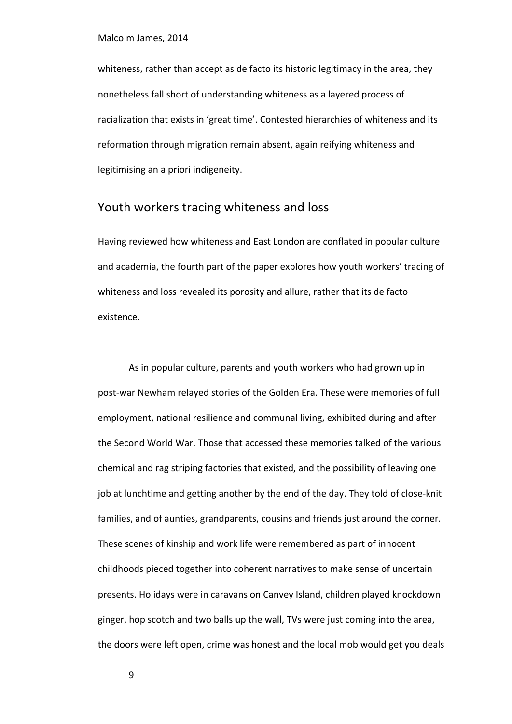whiteness, rather than accept as de facto its historic legitimacy in the area, they nonetheless fall short of understanding whiteness as a layered process of racialization that exists in 'great time'. Contested hierarchies of whiteness and its reformation through migration remain absent, again reifying whiteness and legitimising an a priori indigeneity.

## Youth workers tracing whiteness and loss

Having reviewed how whiteness and East London are conflated in popular culture and academia, the fourth part of the paper explores how youth workers' tracing of whiteness and loss revealed its porosity and allure, rather that its de facto existence.

As in popular culture, parents and youth workers who had grown up in post-war Newham relayed stories of the Golden Era. These were memories of full employment, national resilience and communal living, exhibited during and after the Second World War. Those that accessed these memories talked of the various' chemical'and'rag'striping'factories'that'existed, and'the'possibility'of'leaving'one' job at lunchtime and getting another by the end of the day. They told of close-knit families, and of aunties, grandparents, cousins and friends just around the corner. These scenes of kinship and work life were remembered as part of innocent childhoods pieced together into coherent narratives to make sense of uncertain presents. Holidays were in caravans on Canvey Island, children played knockdown ginger, hop scotch and two balls up the wall, TVs were just coming into the area, the doors were left open, crime was honest and the local mob would get you deals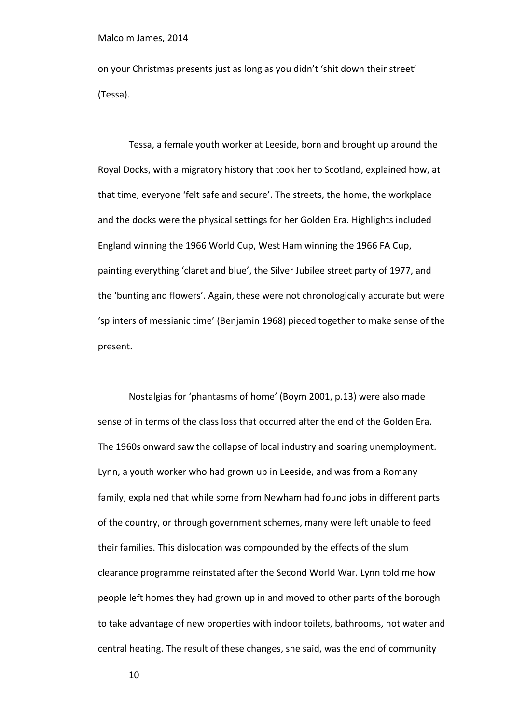on your Christmas presents just as long as you didn't 'shit down their street' (Tessa).'

Tessa, a female youth worker at Leeside, born and brought up around the Royal Docks, with a migratory history that took her to Scotland, explained how, at that time, everyone 'felt safe and secure'. The streets, the home, the workplace and the docks were the physical settings for her Golden Era. Highlights included England winning the 1966 World Cup, West Ham winning the 1966 FA Cup, painting everything 'claret and blue', the Silver Jubilee street party of 1977, and the 'bunting and flowers'. Again, these were not chronologically accurate but were 'splinters of messianic time' (Benjamin 1968) pieced together to make sense of the present.

Nostalgias for 'phantasms of home' (Boym 2001, p.13) were also made sense of in terms of the class loss that occurred after the end of the Golden Era. The 1960s onward saw the collapse of local industry and soaring unemployment. Lynn, a youth worker who had grown up in Leeside, and was from a Romany family, explained that while some from Newham had found jobs in different parts of the country, or through government schemes, many were left unable to feed their families. This dislocation was compounded by the effects of the slum clearance programme reinstated after the Second World War. Lynn told me how people left homes they had grown up in and moved to other parts of the borough to take advantage of new properties with indoor toilets, bathrooms, hot water and central heating. The result of these changes, she said, was the end of community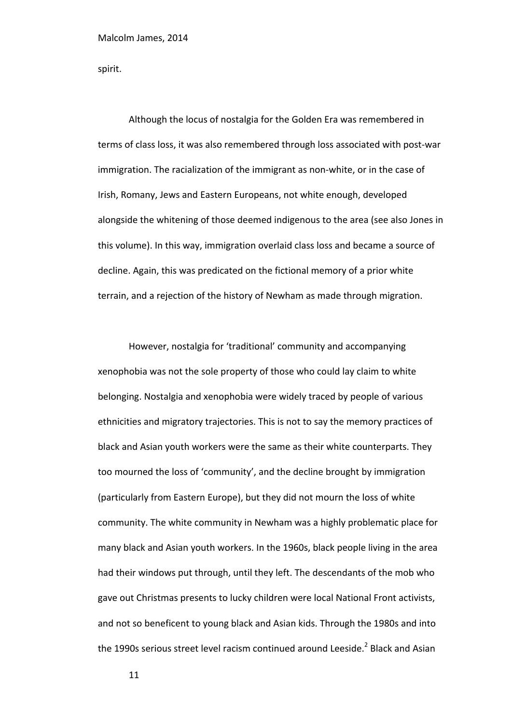spirit.

Although the locus of nostalgia for the Golden Era was remembered in terms of class loss, it was also remembered through loss associated with post-war immigration. The racialization of the immigrant as non-white, or in the case of Irish, Romany, Jews and Eastern Europeans, not white enough, developed alongside the whitening of those deemed indigenous to the area (see also Jones in this volume). In this way, immigration overlaid class loss and became a source of decline. Again, this was predicated on the fictional memory of a prior white terrain, and a rejection of the history of Newham as made through migration.

However, nostalgia for 'traditional' community and accompanying xenophobia was not the sole property of those who could lay claim to white belonging. Nostalgia and xenophobia were widely traced by people of various ethnicities and migratory trajectories. This is not to say the memory practices of black and Asian youth workers were the same as their white counterparts. They too mourned the loss of 'community', and the decline brought by immigration (particularly from Eastern Europe), but they did not mourn the loss of white community. The white community in Newham was a highly problematic place for many black and Asian youth workers. In the 1960s, black people living in the area had their windows put through, until they left. The descendants of the mob who gave out Christmas presents to lucky children were local National Front activists, and not so beneficent to young black and Asian kids. Through the 1980s and into the 1990s serious street level racism continued around Leeside.<sup>2</sup> Black and Asian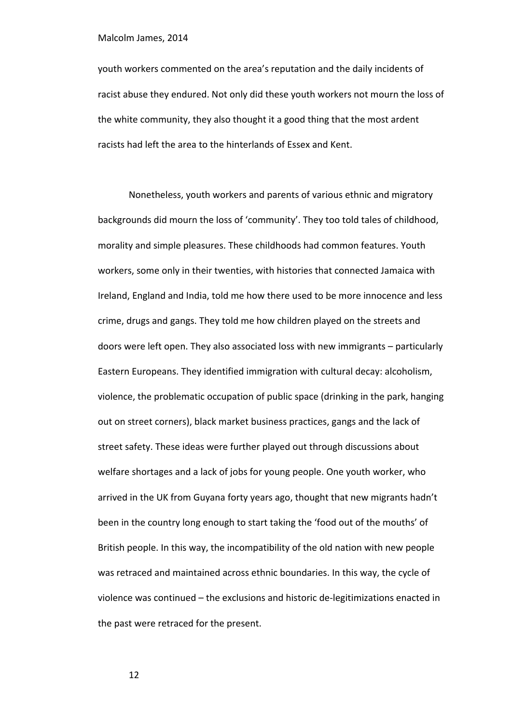youth workers commented on the area's reputation and the daily incidents of racist abuse they endured. Not only did these youth workers not mourn the loss of the white community, they also thought it a good thing that the most ardent racists had left the area to the hinterlands of Essex and Kent.

Nonetheless, youth workers and parents of various ethnic and migratory backgrounds did mourn the loss of 'community'. They too told tales of childhood, morality and simple pleasures. These childhoods had common features. Youth workers, some only in their twenties, with histories that connected Jamaica with Ireland, England and India, told me how there used to be more innocence and less crime, drugs and gangs. They told me how children played on the streets and doors were left open. They also associated loss with new immigrants – particularly Eastern Europeans. They identified immigration with cultural decay: alcoholism, violence, the problematic occupation of public space (drinking in the park, hanging out on street corners), black market business practices, gangs and the lack of street safety. These ideas were further played out through discussions about welfare shortages and a lack of jobs for young people. One youth worker, who arrived in the UK from Guyana forty years ago, thought that new migrants hadn't been in the country long enough to start taking the 'food out of the mouths' of British people. In this way, the incompatibility of the old nation with new people was retraced and maintained across ethnic boundaries. In this way, the cycle of violence was continued  $-$  the exclusions and historic de-legitimizations enacted in the past were retraced for the present.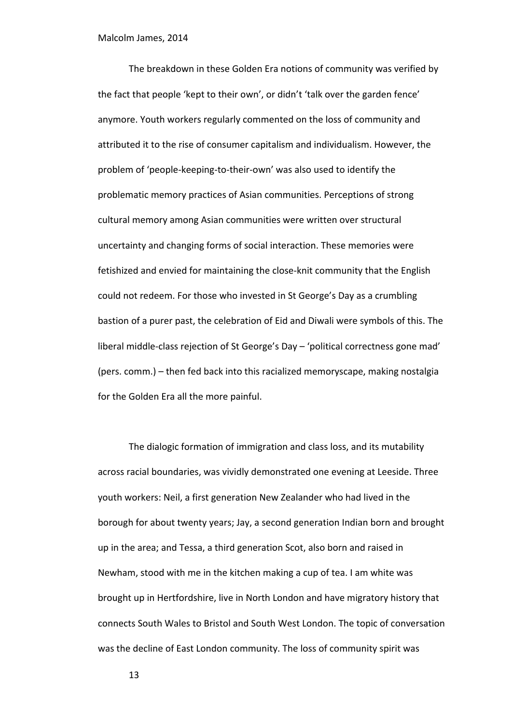The breakdown in these Golden Era notions of community was verified by the fact that people 'kept to their own', or didn't 'talk over the garden fence' anymore. Youth workers regularly commented on the loss of community and attributed it to the rise of consumer capitalism and individualism. However, the problem of 'people-keeping-to-their-own' was also used to identify the problematic memory practices of Asian communities. Perceptions of strong cultural memory among Asian communities were written over structural uncertainty and changing forms of social interaction. These memories were fetishized and envied for maintaining the close-knit community that the English could not redeem. For those who invested in St George's Day as a crumbling bastion of a purer past, the celebration of Eid and Diwali were symbols of this. The liberal middle-class rejection of St George's Day – 'political correctness gone mad' (pers. comm.) – then fed back into this racialized memoryscape, making nostalgia for the Golden Era all the more painful.

The dialogic formation of immigration and class loss, and its mutability across racial boundaries, was vividly demonstrated one evening at Leeside. Three youth workers: Neil, a first generation New Zealander who had lived in the borough for about twenty years; Jay, a second generation Indian born and brought up in the area; and Tessa, a third generation Scot, also born and raised in Newham, stood with me in the kitchen making a cup of tea. I am white was brought up in Hertfordshire, live in North London and have migratory history that connects South Wales to Bristol and South West London. The topic of conversation was the decline of East London community. The loss of community spirit was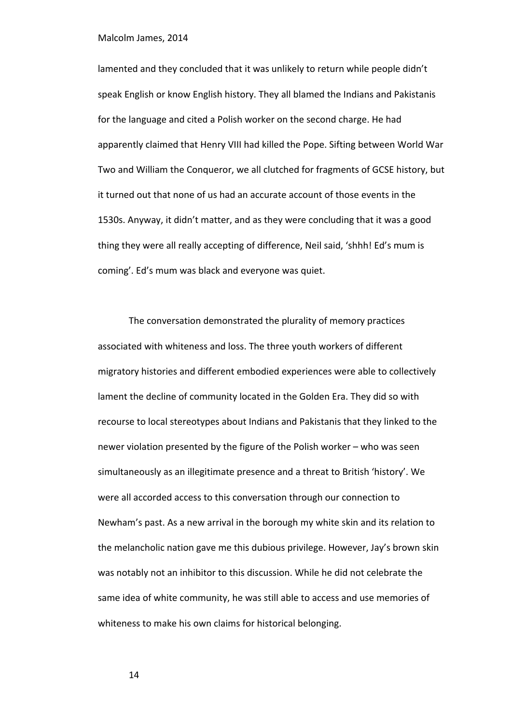lamented and they concluded that it was unlikely to return while people didn't speak English or know English history. They all blamed the Indians and Pakistanis for the language and cited a Polish worker on the second charge. He had apparently claimed that Henry VIII had killed the Pope. Sifting between World War Two and William the Conqueror, we all clutched for fragments of GCSE history, but it turned out that none of us had an accurate account of those events in the 1530s. Anyway, it didn't matter, and as they were concluding that it was a good thing they were all really accepting of difference, Neil said, 'shhh! Ed's mum is coming'. Ed's mum was black and everyone was quiet.

The conversation demonstrated the plurality of memory practices associated with whiteness and loss. The three youth workers of different migratory histories and different embodied experiences were able to collectively lament the decline of community located in the Golden Era. They did so with recourse to local stereotypes about Indians and Pakistanis that they linked to the newer violation presented by the figure of the Polish worker – who was seen simultaneously as an illegitimate presence and a threat to British 'history'. We were all accorded access to this conversation through our connection to Newham's past. As a new arrival in the borough my white skin and its relation to the melancholic nation gave me this dubious privilege. However, Jay's brown skin was notably not an inhibitor to this discussion. While he did not celebrate the same idea of white community, he was still able to access and use memories of whiteness to make his own claims for historical belonging.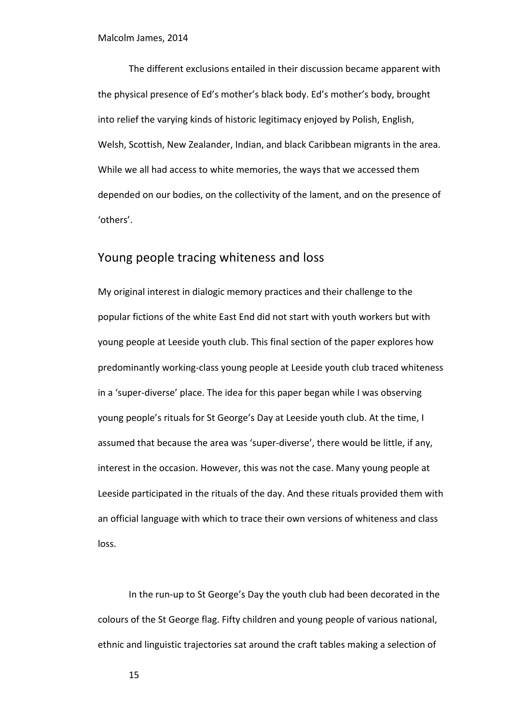The different exclusions entailed in their discussion became apparent with the physical presence of Ed's mother's black body. Ed's mother's body, brought into relief the varying kinds of historic legitimacy enjoyed by Polish, English, Welsh, Scottish, New Zealander, Indian, and black Caribbean migrants in the area. While we all had access to white memories, the ways that we accessed them depended on our bodies, on the collectivity of the lament, and on the presence of 'others'.

## Young people tracing whiteness and loss

My original interest in dialogic memory practices and their challenge to the popular fictions of the white East End did not start with youth workers but with young people at Leeside youth club. This final section of the paper explores how predominantly working-class young people at Leeside youth club traced whiteness in a 'super-diverse' place. The idea for this paper began while I was observing young people's rituals for St George's Day at Leeside youth club. At the time, I assumed that because the area was 'super-diverse', there would be little, if any, interest in the occasion. However, this was not the case. Many young people at Leeside participated in the rituals of the day. And these rituals provided them with an official language with which to trace their own versions of whiteness and class loss.

In the run-up to St George's Day the youth club had been decorated in the colours of the St George flag. Fifty children and young people of various national, ethnic and linguistic trajectories sat around the craft tables making a selection of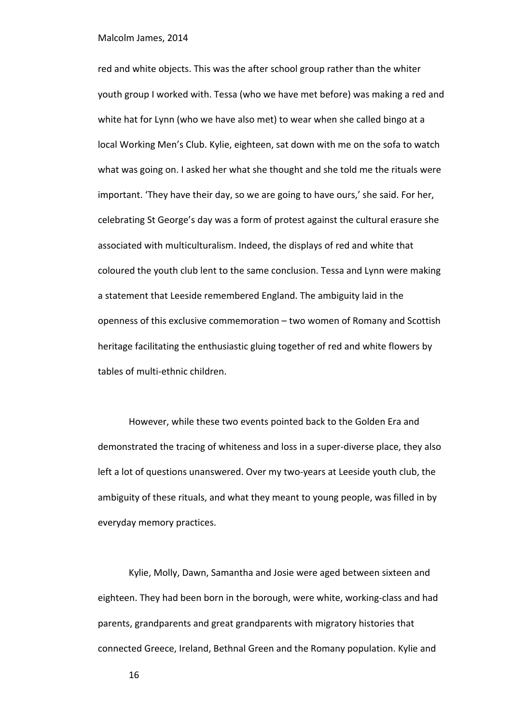red and white objects. This was the after school group rather than the whiter youth group I worked with. Tessa (who we have met before) was making a red and white hat for Lynn (who we have also met) to wear when she called bingo at a local Working Men's Club. Kylie, eighteen, sat down with me on the sofa to watch what was going on. I asked her what she thought and she told me the rituals were important. 'They have their day, so we are going to have ours,' she said. For her, celebrating St George's day was a form of protest against the cultural erasure she associated with multiculturalism. Indeed, the displays of red and white that coloured the youth club lent to the same conclusion. Tessa and Lynn were making a statement that Leeside remembered England. The ambiguity laid in the openness of this exclusive commemoration – two women of Romany and Scottish heritage facilitating the enthusiastic gluing together of red and white flowers by tables of multi-ethnic children.

However, while these two events pointed back to the Golden Era and demonstrated the tracing of whiteness and loss in a super-diverse place, they also left a lot of questions unanswered. Over my two-years at Leeside youth club, the ambiguity of these rituals, and what they meant to young people, was filled in by everyday memory practices.

Kylie, Molly, Dawn, Samantha and Josie were aged between sixteen and eighteen. They had been born in the borough, were white, working-class and had parents, grandparents and great grandparents with migratory histories that connected Greece, Ireland, Bethnal Green and the Romany population. Kylie and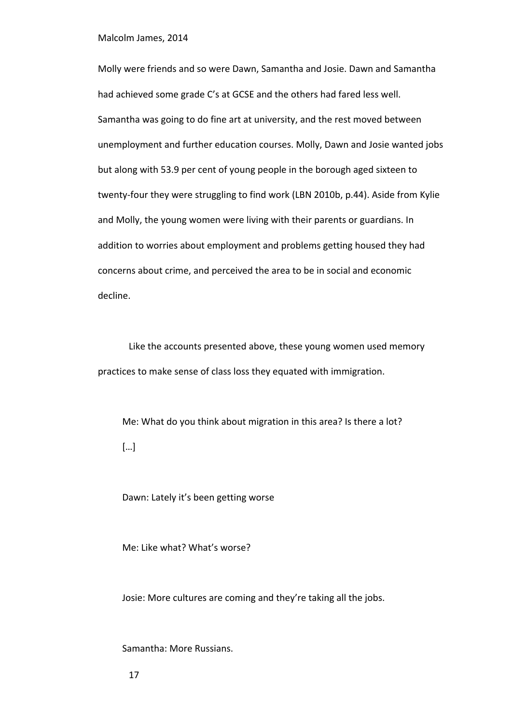Molly were friends and so were Dawn, Samantha and Josie. Dawn and Samantha had achieved some grade C's at GCSE and the others had fared less well. Samantha was going to do fine art at university, and the rest moved between unemployment and further education courses. Molly, Dawn and Josie wanted jobs but along with 53.9 per cent of young people in the borough aged sixteen to twenty-four they were struggling to find work (LBN 2010b, p.44). Aside from Kylie and Molly, the young women were living with their parents or guardians. In addition to worries about employment and problems getting housed they had concerns about crime, and perceived the area to be in social and economic decline.

Like the accounts presented above, these young women used memory practices to make sense of class loss they equated with immigration.

Me: What do you think about migration in this area? Is there a lot? […]

Dawn: Lately it's been getting worse

Me: Like what? What's worse?

Josie: More cultures are coming and they're taking all the jobs.

Samantha: More Russians.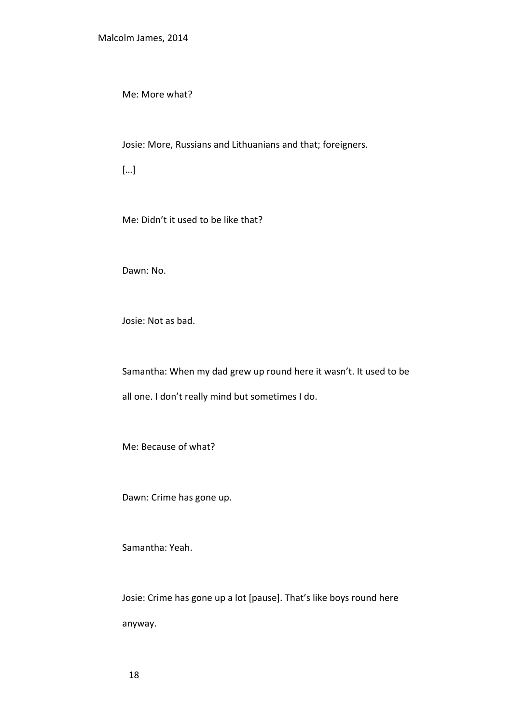Me: More what?

Josie: More, Russians and Lithuanians and that; foreigners.

[…]

Me: Didn't it used to be like that?

Dawn: No.

Josie: Not as bad.

Samantha: When my dad grew up round here it wasn't. It used to be all one. I don't really mind but sometimes I do.

Me: Because of what?

Dawn: Crime has gone up.

Samantha: Yeah.

Josie: Crime has gone up a lot [pause]. That's like boys round here anyway.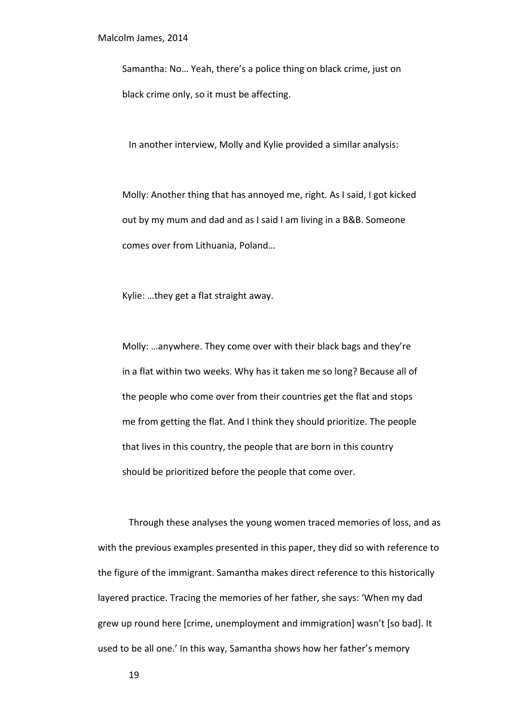Samantha: No... Yeah, there's a police thing on black crime, just on black crime only, so it must be affecting.

In another interview, Molly and Kylie provided a similar analysis:

Molly: Another thing that has annoyed me, right. As I said, I got kicked out by my mum and dad and as I said I am living in a B&B. Someone comes over from Lithuania, Poland...

Kylie: ...they get a flat straight away.

Molly: ...anywhere. They come over with their black bags and they're in a flat within two weeks. Why has it taken me so long? Because all of the people who come over from their countries get the flat and stops me from getting the flat. And I think they should prioritize. The people that lives in this country, the people that are born in this country should be prioritized before the people that come over.

Through these analyses the young women traced memories of loss, and as with the previous examples presented in this paper, they did so with reference to the figure of the immigrant. Samantha makes direct reference to this historically layered practice. Tracing the memories of her father, she says: 'When my dad grew up round here [crime, unemployment and immigration] wasn't [so bad]. It used to be all one.' In this way, Samantha shows how her father's memory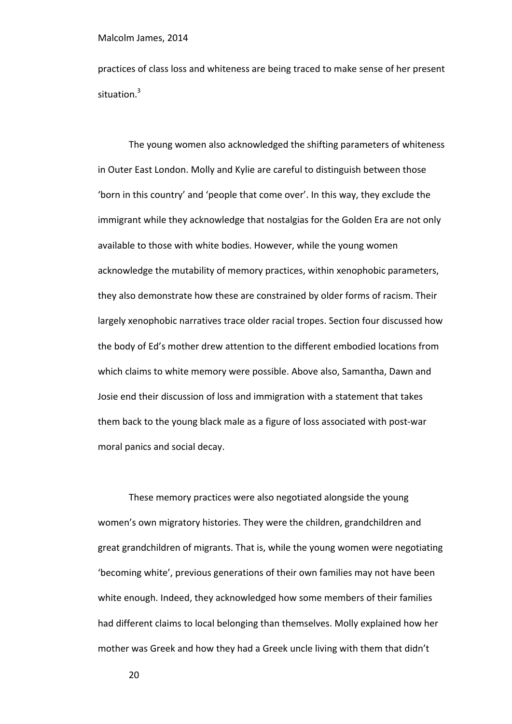practices'of'class'loss'and'whiteness'are'being'traced'to'make'sense'of'her'present' situation.<sup>3</sup>

The young women also acknowledged the shifting parameters of whiteness in Outer East London. Molly and Kylie are careful to distinguish between those 'born in this country' and 'people that come over'. In this way, they exclude the immigrant while they acknowledge that nostalgias for the Golden Era are not only available to those with white bodies. However, while the young women acknowledge the mutability of memory practices, within xenophobic parameters, they also demonstrate how these are constrained by older forms of racism. Their largely xenophobic narratives trace older racial tropes. Section four discussed how the body of Ed's mother drew attention to the different embodied locations from which claims to white memory were possible. Above also, Samantha, Dawn and Josie end their discussion of loss and immigration with a statement that takes them back to the young black male as a figure of loss associated with post-war moral panics and social decay.

These memory practices were also negotiated alongside the young women's own migratory histories. They were the children, grandchildren and great grandchildren of migrants. That is, while the young women were negotiating 'becoming white', previous generations of their own families may not have been white enough. Indeed, they acknowledged how some members of their families had different claims to local belonging than themselves. Molly explained how her mother was Greek and how they had a Greek uncle living with them that didn't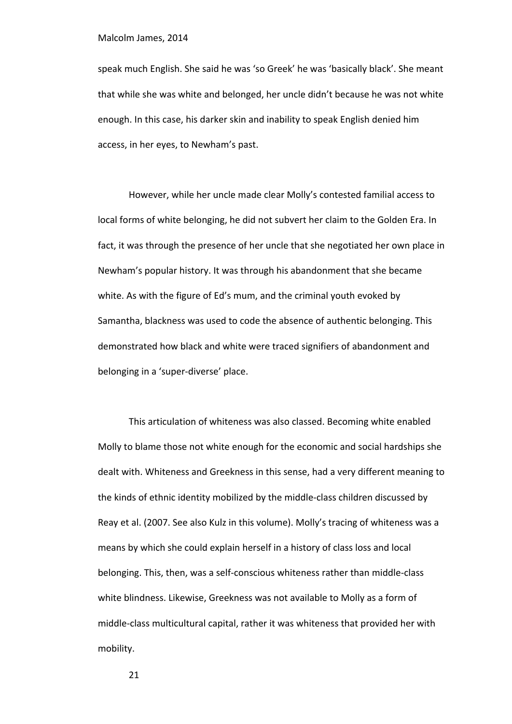speak much English. She said he was 'so Greek' he was 'basically black'. She meant that while she was white and belonged, her uncle didn't because he was not white enough. In this case, his darker skin and inability to speak English denied him access, in her eyes, to Newham's past.

However, while her uncle made clear Molly's contested familial access to local forms of white belonging, he did not subvert her claim to the Golden Era. In fact, it was through the presence of her uncle that she negotiated her own place in Newham's popular history. It was through his abandonment that she became white. As with the figure of Ed's mum, and the criminal youth evoked by Samantha, blackness was used to code the absence of authentic belonging. This demonstrated how black and white were traced signifiers of abandonment and belonging in a 'super-diverse' place.

This articulation of whiteness was also classed. Becoming white enabled Molly to blame those not white enough for the economic and social hardships she dealt with. Whiteness and Greekness in this sense, had a very different meaning to the kinds of ethnic identity mobilized by the middle-class children discussed by Reay et al. (2007. See also Kulz in this volume). Molly's tracing of whiteness was a means by which she could explain herself in a history of class loss and local belonging. This, then, was a self-conscious whiteness rather than middle-class white blindness. Likewise, Greekness was not available to Molly as a form of middle-class multicultural capital, rather it was whiteness that provided her with mobility.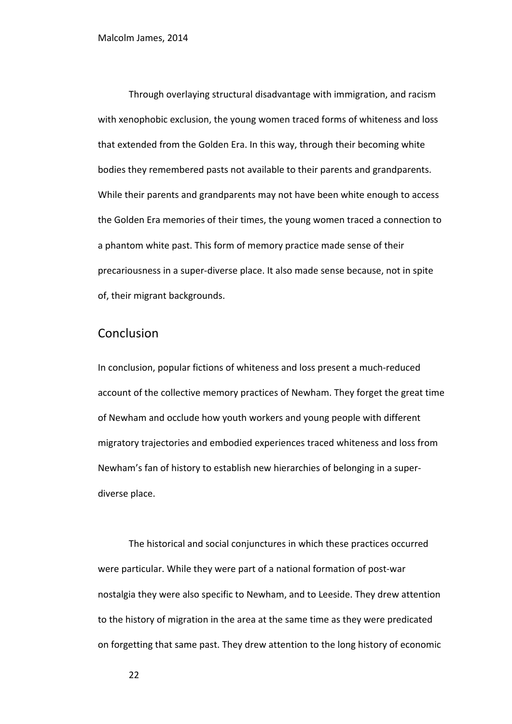Through overlaying structural disadvantage with immigration, and racism with xenophobic exclusion, the young women traced forms of whiteness and loss' that extended from the Golden Era. In this way, through their becoming white bodies they remembered pasts not available to their parents and grandparents. While their parents and grandparents may not have been white enough to access the Golden Era memories of their times, the young women traced a connection to a phantom white past. This form of memory practice made sense of their precariousness in a super-diverse place. It also made sense because, not in spite of, their migrant backgrounds.

## Conclusion

In conclusion, popular fictions of whiteness and loss present a much-reduced account of the collective memory practices of Newham. They forget the great time of Newham and occlude how youth workers and young people with different migratory trajectories and embodied experiences traced whiteness and loss from Newham's fan of history to establish new hierarchies of belonging in a superdiverse place.

The historical and social conjunctures in which these practices occurred were particular. While they were part of a national formation of post-war nostalgia they were also specific to Newham, and to Leeside. They drew attention to the history of migration in the area at the same time as they were predicated on forgetting that same past. They drew attention to the long history of economic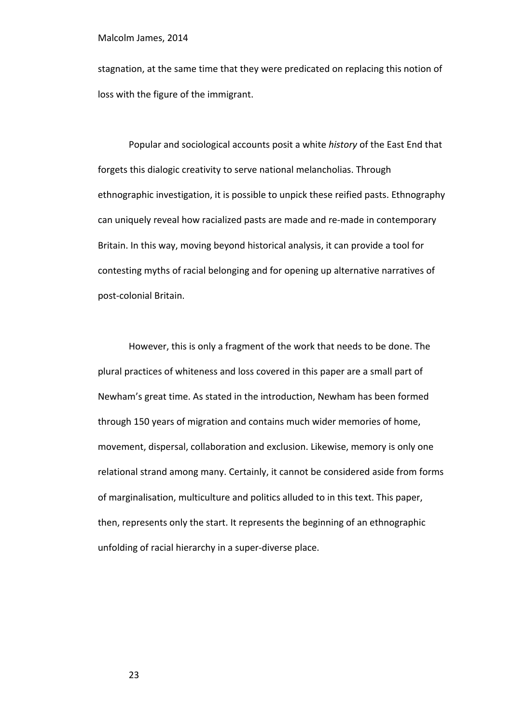stagnation, at the same time that they were predicated on replacing this notion of loss with the figure of the immigrant.

Popular and sociological accounts posit a white *history* of the East End that forgets this dialogic creativity to serve national melancholias. Through ethnographic investigation, it is possible to unpick these reified pasts. Ethnography can uniquely reveal how racialized pasts are made and re-made in contemporary Britain. In this way, moving beyond historical analysis, it can provide a tool for contesting myths of racial belonging and for opening up alternative narratives of post-colonial Britain.

However, this is only a fragment of the work that needs to be done. The plural practices of whiteness and loss covered in this paper are a small part of Newham's great time. As stated in the introduction, Newham has been formed through 150 years of migration and contains much wider memories of home, movement, dispersal, collaboration and exclusion. Likewise, memory is only one relational strand among many. Certainly, it cannot be considered aside from forms of marginalisation, multiculture and politics alluded to in this text. This paper, then, represents only the start. It represents the beginning of an ethnographic unfolding of racial hierarchy in a super-diverse place.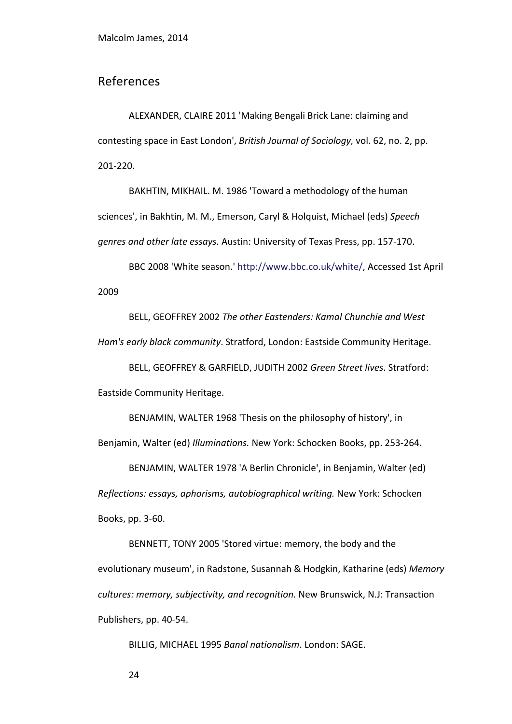## References

ALEXANDER, CLAIRE 2011 'Making Bengali Brick Lane: claiming and contesting space in East London', *British Journal of Sociology*, vol. 62, no. 2, pp. 201-220.

BAKHTIN, MIKHAIL. M. 1986 'Toward a methodology of the human sciences', in Bakhtin, M. M., Emerson, Caryl & Holquist, Michael (eds) Speech *genres and other late essays.* Austin: University of Texas Press, pp. 157-170.

BBC 2008 'White season.' http://www.bbc.co.uk/white/, Accessed 1st April 2009

BELL, GEOFFREY 2002 The other Eastenders: Kamal Chunchie and West *Ham's early black community*. Stratford, London: Eastside Community Heritage.

BELL, GEOFFREY & GARFIELD, JUDITH 2002 Green Street lives. Stratford: Eastside Community Heritage.

BENJAMIN, WALTER 1968 'Thesis on the philosophy of history', in Benjamin, Walter (ed) *Illuminations*. New York: Schocken Books, pp. 253-264.

BENJAMIN, WALTER 1978 'A Berlin Chronicle', in Benjamin, Walter (ed) *Reflections: essays, aphorisms, autobiographical writing. New York: Schocken* Books, pp. 3-60.

BENNETT, TONY 2005 'Stored virtue: memory, the body and the evolutionary'museum','in'Radstone,'Susannah'&'Hodgkin,'Katharine'(eds)'*Memory\* cultures: memory, subjectivity, and recognition.* New Brunswick, N.J: Transaction Publishers, pp. 40-54.

BILLIG, MICHAEL 1995 Banal nationalism. London: SAGE.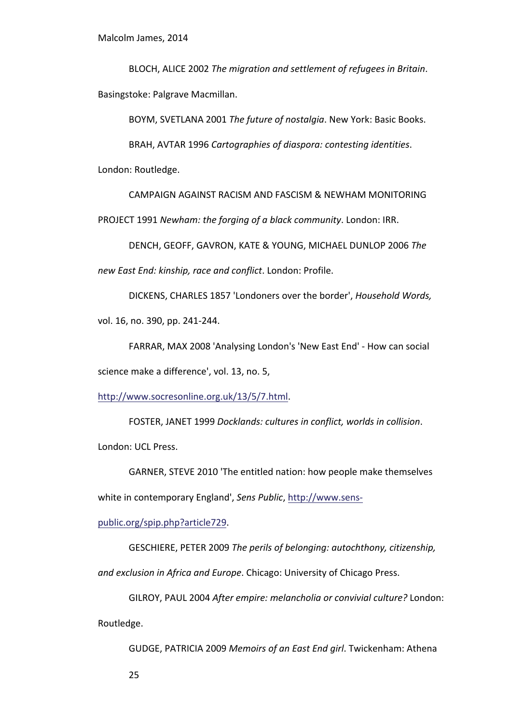BLOCH, ALICE 2002 *The migration and settlement of refugees in Britain*. Basingstoke: Palgrave Macmillan.

BOYM, SVETLANA 2001 The future of nostalgia. New York: Basic Books.

BRAH, AVTAR 1996 Cartographies of diaspora: contesting identities.

London: Routledge.

CAMPAIGN AGAINST RACISM AND FASCISM & NEWHAM MONITORING

PROJECT 1991 Newham: the forging of a black community. London: IRR.

DENCH, GEOFF, GAVRON, KATE & YOUNG, MICHAEL DUNLOP 2006 The *new East End: kinship, race and conflict*. London: Profile.

DICKENS, CHARLES 1857 'Londoners over the border', *Household Words,* vol. 16, no. 390, pp. 241-244.

FARRAR, MAX 2008 'Analysing London's 'New East End' - How can social science make a difference', vol. 13, no. 5,

http://www.socresonline.org.uk/13/5/7.html.'

FOSTER, JANET 1999 Docklands: cultures in conflict, worlds in collision.

London: UCL Press.

GARNER, STEVE 2010 'The entitled nation: how people make themselves white in contemporary England', *Sens Public*, http://www.sens-

public.org/spip.php?article729.'

GESCHIERE, PETER 2009 *The perils of belonging: autochthony, citizenship,* 

and exclusion in Africa and Europe. Chicago: University of Chicago Press.

GILROY, PAUL 2004 *After empire: melancholia or convivial culture?* London: Routledge.

GUDGE, PATRICIA 2009 Memoirs of an East End girl. Twickenham: Athena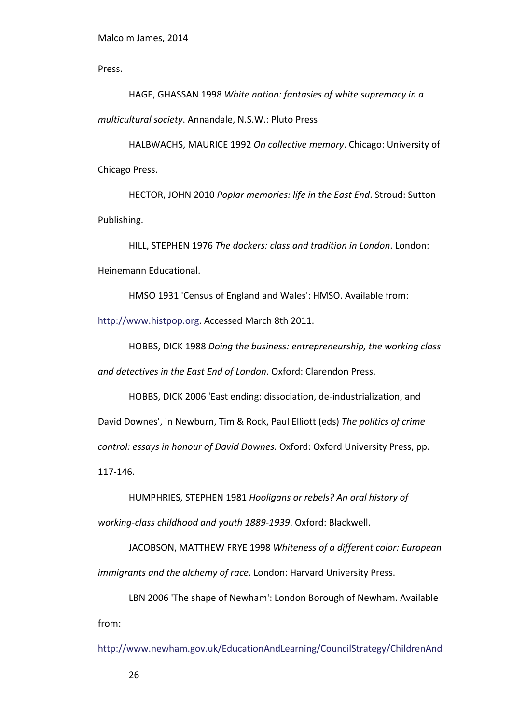Press.

HAGE, GHASSAN 1998 White nation: fantasies of white supremacy in a multicultural society. Annandale, N.S.W.: Pluto Press

HALBWACHS, MAURICE 1992 On collective memory. Chicago: University of Chicago Press.

HECTOR, JOHN 2010 *Poplar memories: life in the East End.* Stroud: Sutton Publishing.

HILL, STEPHEN 1976 The dockers: class and tradition in London. London: Heinemann'Educational.

HMSO 1931 'Census of England and Wales': HMSO. Available from: http://www.histpop.org. Accessed March 8th 2011.

HOBBS, DICK 1988 Doing the business: entrepreneurship, the working class and detectives in the East End of London. Oxford: Clarendon Press.

HOBBS, DICK 2006 'East ending: dissociation, de-industrialization, and David Downes', in Newburn, Tim & Rock, Paul Elliott (eds) The politics of crime *control: essays in honour of David Downes. Oxford: Oxford University Press, pp.* 117-146.

HUMPHRIES, STEPHEN 1981 Hooligans or rebels? An oral history of working-class childhood and youth 1889-1939. Oxford: Blackwell.

JACOBSON, MATTHEW FRYE 1998 Whiteness of a different color: European *immigrants and the alchemy of race*. London: Harvard University Press.

LBN 2006 'The shape of Newham': London Borough of Newham. Available from:

http://www.newham.gov.uk/EducationAndLearning/CouncilStrategy/ChildrenAnd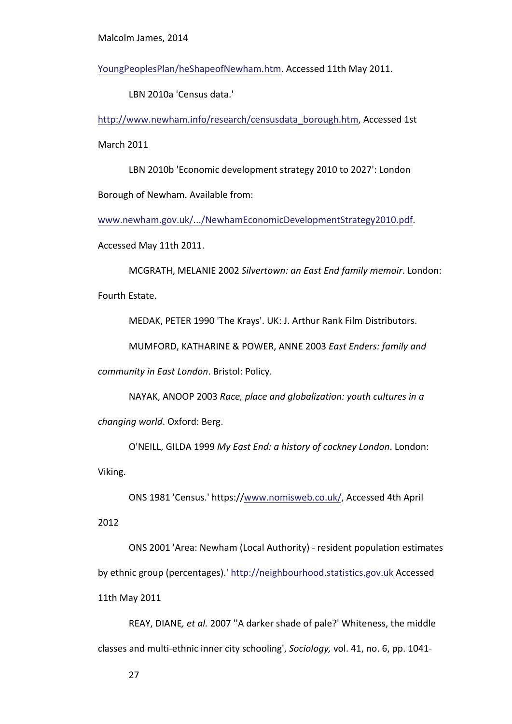YoungPeoplesPlan/heShapeofNewham.htm. Accessed 11th May 2011.

LBN 2010a 'Census data.'

http://www.newham.info/research/censusdata\_borough.htm, Accessed 1st March'2011

LBN 2010b 'Economic development strategy 2010 to 2027': London Borough of Newham. Available from:

www.newham.gov.uk/.../NewhamEconomicDevelopmentStrategy2010.pdf.'

Accessed May 11th 2011.

MCGRATH, MELANIE 2002 Silvertown: an East End family memoir. London: Fourth Estate.

MEDAK, PETER 1990 'The Krays'. UK: J. Arthur Rank Film Distributors.

MUMFORD, KATHARINE & POWER, ANNE 2003 *East Enders: family and* 

*community in East London*. Bristol: Policy.

NAYAK, ANOOP 2003 Race, place and globalization: youth cultures in a

*changing world.* Oxford: Berg.

O'NEILL, GILDA 1999 My East End: a history of cockney London. London: Viking.

ONS 1981 'Census.' https://www.nomisweb.co.uk/, Accessed 4th April

2012

ONS 2001 'Area: Newham (Local Authority) - resident population estimates by ethnic group (percentages).' http://neighbourhood.statistics.gov.uk Accessed 11th May 2011

REAY, DIANE, et al. 2007 "A darker shade of pale?' Whiteness, the middle classes and multi-ethnic inner city schooling', *Sociology*, vol. 41, no. 6, pp. 1041-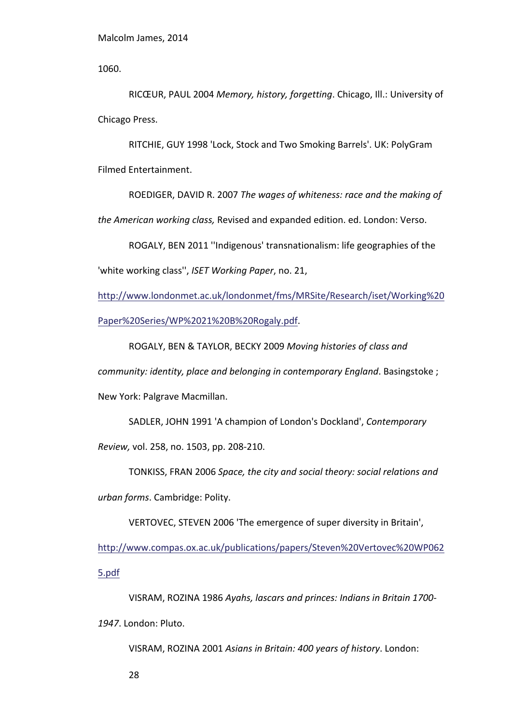1060.

RICŒUR, PAUL 2004 Memory, history, forgetting. Chicago, Ill.: University of Chicago Press.

RITCHIE, GUY 1998 'Lock, Stock and Two Smoking Barrels'. UK: PolyGram Filmed'Entertainment.

ROEDIGER, DAVID R. 2007 The wages of whiteness: race and the making of *the\*American\*working\*class,\**Revised'and'expanded'edition.'ed.'London:'Verso.

ROGALY, BEN 2011 "Indigenous' transnationalism: life geographies of the 'white working class", ISET Working Paper, no. 21,

http://www.londonmet.ac.uk/londonmet/fms/MRSite/Research/iset/Working%20

Paper%20Series/WP%2021%20B%20Rogaly.pdf.'

ROGALY, BEN & TAYLOR, BECKY 2009 Moving histories of class and

*community: identity, place and belonging in contemporary England. Basingstoke*;

New York: Palgrave Macmillan.

SADLER, JOHN 1991 'A champion of London's Dockland', *Contemporary Review, vol.* 258, no. 1503, pp. 208-210.

TONKISS, FRAN 2006 Space, the city and social theory: social relations and *urban forms.* Cambridge: Polity.

VERTOVEC, STEVEN 2006 'The emergence of super diversity in Britain', http://www.compas.ox.ac.uk/publications/papers/Steven%20Vertovec%20WP062 5.pdf

VISRAM, ROZINA 1986 Ayahs, lascars and princes: Indians in Britain 1700-1947. London: Pluto.

VISRAM, ROZINA 2001 Asians in Britain: 400 years of history. London: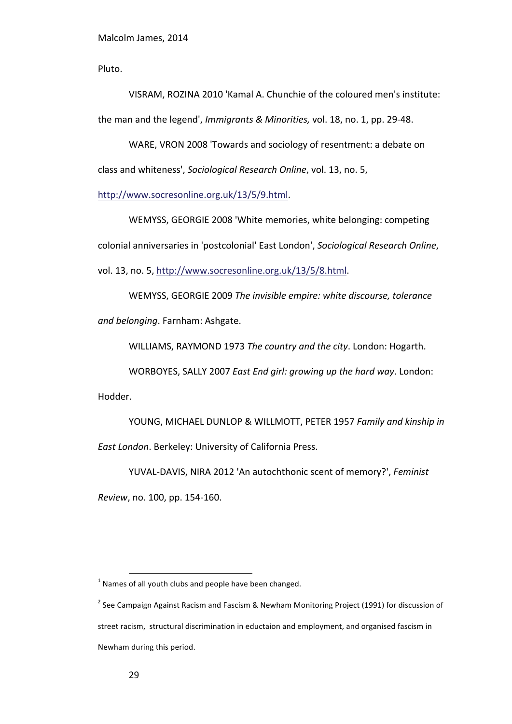Pluto.

VISRAM, ROZINA 2010 'Kamal A. Chunchie of the coloured men's institute: the man and the legend', *Immigrants & Minorities*, vol. 18, no. 1, pp. 29-48.

WARE, VRON 2008 'Towards and sociology of resentment: a debate on class and whiteness', *Sociological Research Online*, vol. 13, no. 5,

http://www.socresonline.org.uk/13/5/9.html.'

WEMYSS, GEORGIE 2008 'White memories, white belonging: competing colonial anniversaries in 'postcolonial' East London', Sociological Research Online, vol. 13, no. 5, http://www.socresonline.org.uk/13/5/8.html.

WEMYSS, GEORGIE 2009 *The invisible empire: white discourse, tolerance* and belonging. Farnham: Ashgate.

WILLIAMS, RAYMOND 1973 The country and the city. London: Hogarth.

WORBOYES,'SALLY'2007'*East\*End\*girl:\*growing\*up\*the hard\*way*.'London:'

Hodder.

YOUNG, MICHAEL DUNLOP & WILLMOTT, PETER 1957 Family and kinship in *East London*. Berkeley: University of California Press.

YUVAL-DAVIS, NIRA 2012 'An autochthonic scent of memory?', *Feminist* 

*Review*, no. 100, pp. 154-160.

 $1$  Names of all vouth clubs and people have been changed.

<sup>&</sup>lt;sup>2</sup> See Campaign Against Racism and Fascism & Newham Monitoring Project (1991) for discussion of street racism, structural discrimination in eductaion and employment, and organised fascism in Newham during this period.